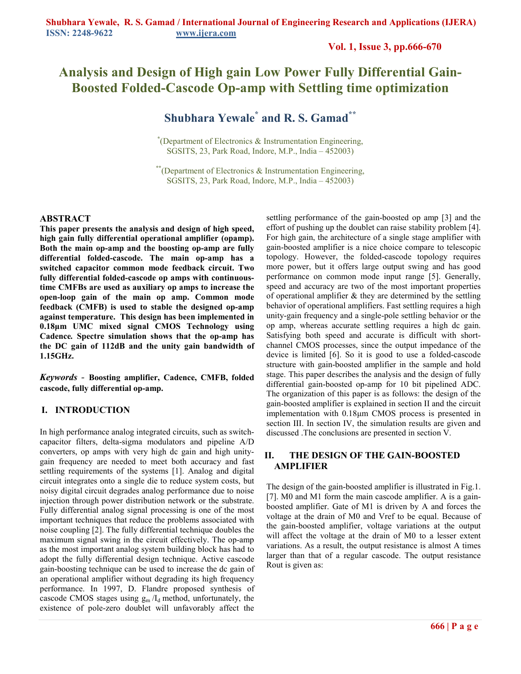**Vol. 1, Issue 3, pp.666-670**

# **Analysis and Design of High gain Low Power Fully Differential Gain-Boosted Folded-Cascode Op-amp with Settling time optimization**

# **Shubhara Yewale\* and R. S. Gamad\*\***

**\*** (Department of Electronics & Instrumentation Engineering, SGSITS, 23, Park Road, Indore, M.P., India – 452003)

\*\*(Department of Electronics & Instrumentation Engineering, SGSITS, 23, Park Road, Indore, M.P., India – 452003)

## **ABSTRACT**

**This paper presents the analysis and design of high speed, high gain fully differential operational amplifier (opamp). Both the main op-amp and the boosting op-amp are fully differential folded-cascode. The main op-amp has a switched capacitor common mode feedback circuit. Two fully differential folded-cascode op amps with continuoustime CMFBs are used as auxiliary op amps to increase the open-loop gain of the main op amp. Common mode feedback (CMFB) is used to stable the designed op-amp against temperature.****This design has been implemented in 0.18µm UMC mixed signal CMOS Technology using Cadence***.* **Spectre simulation shows that the op-amp has the DC gain of 112dB and the unity gain bandwidth of 1.15GHz.** 

*Keywords -* **Boosting amplifier, Cadence, CMFB, folded cascode, fully differential op-amp.**

# **I. INTRODUCTION**

In high performance analog integrated circuits, such as switchcapacitor filters, delta-sigma modulators and pipeline A/D converters, op amps with very high dc gain and high unitygain frequency are needed to meet both accuracy and fast settling requirements of the systems [1]. Analog and digital circuit integrates onto a single die to reduce system costs, but noisy digital circuit degrades analog performance due to noise injection through power distribution network or the substrate. Fully differential analog signal processing is one of the most important techniques that reduce the problems associated with noise coupling [2]. The fully differential technique doubles the maximum signal swing in the circuit effectively. The op-amp as the most important analog system building block has had to adopt the fully differential design technique. Active cascode gain-boosting technique can be used to increase the dc gain of an operational amplifier without degrading its high frequency performance. In 1997, D. Flandre proposed synthesis of cascode CMOS stages using  $g_m/I_d$  method, unfortunately, the existence of pole-zero doublet will unfavorably affect the settling performance of the gain-boosted op amp [3] and the effort of pushing up the doublet can raise stability problem [4]. For high gain, the architecture of a single stage amplifier with gain-boosted amplifier is a nice choice compare to telescopic topology. However, the folded-cascode topology requires more power, but it offers large output swing and has good performance on common mode input range [5]. Generally, speed and accuracy are two of the most important properties of operational amplifier & they are determined by the settling behavior of operational amplifiers. Fast settling requires a high unity-gain frequency and a single-pole settling behavior or the op amp, whereas accurate settling requires a high dc gain. Satisfying both speed and accurate is difficult with shortchannel CMOS processes, since the output impedance of the device is limited [6]. So it is good to use a folded-cascode structure with gain-boosted amplifier in the sample and hold stage. This paper describes the analysis and the design of fully differential gain-boosted op-amp for 10 bit pipelined ADC. The organization of this paper is as follows: the design of the gain-boosted amplifier is explained in section II and the circuit implementation with 0.18µm CMOS process is presented in section III. In section IV, the simulation results are given and discussed .The conclusions are presented in section V.

# **II. THE DESIGN OF THE GAIN-BOOSTED AMPLIFIER**

The design of the gain-boosted amplifier is illustrated in Fig.1. [7]. M0 and M1 form the main cascode amplifier. A is a gainboosted amplifier. Gate of M1 is driven by A and forces the voltage at the drain of M0 and Vref to be equal. Because of the gain-boosted amplifier, voltage variations at the output will affect the voltage at the drain of M0 to a lesser extent variations. As a result, the output resistance is almost A times larger than that of a regular cascode. The output resistance Rout is given as: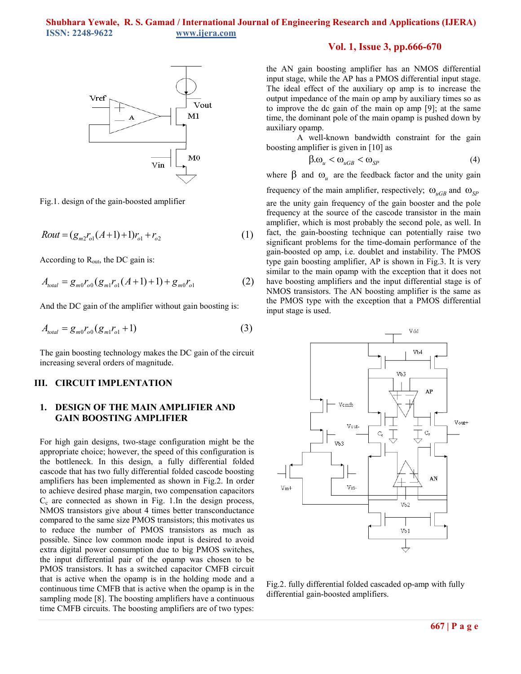

Fig.1. design of the gain-boosted amplifier

$$
Rout = (g_{m2}r_{o1}(A+1)+1)r_{o1}+r_{o2}
$$
 (1)

According to  $R_{out}$ , the DC gain is:

$$
A_{total} = g_{m0}r_{o0}(g_{m1}r_{o1}(A+1)+1) + g_{m0}r_{o1}
$$
 (2)

And the DC gain of the amplifier without gain boosting is:

$$
A_{total} = g_{m0}r_{00}(g_{m1}r_{01} + 1)
$$
 (3)

The gain boosting technology makes the DC gain of the circuit increasing several orders of magnitude.

## **III. CIRCUIT IMPLENTATION**

## **1. DESIGN OF THE MAIN AMPLIFIER AND GAIN BOOSTING AMPLIFIER**

For high gain designs, two-stage configuration might be the appropriate choice; however, the speed of this configuration is the bottleneck. In this design, a fully differential folded cascode that has two fully differential folded cascode boosting amplifiers has been implemented as shown in Fig.2. In order to achieve desired phase margin, two compensation capacitors  $C_c$  are connected as shown in Fig. 1.In the design process, NMOS transistors give about 4 times better transconductance compared to the same size PMOS transistors; this motivates us to reduce the number of PMOS transistors as much as possible. Since low common mode input is desired to avoid extra digital power consumption due to big PMOS switches, the input differential pair of the opamp was chosen to be PMOS transistors. It has a switched capacitor CMFB circuit that is active when the opamp is in the holding mode and a continuous time CMFB that is active when the opamp is in the sampling mode [8]. The boosting amplifiers have a continuous time CMFB circuits. The boosting amplifiers are of two types:

# **Vol. 1, Issue 3, pp.666-670**

the AN gain boosting amplifier has an NMOS differential input stage, while the AP has a PMOS differential input stage. The ideal effect of the auxiliary op amp is to increase the output impedance of the main op amp by auxiliary times so as to improve the dc gain of the main op amp [9]; at the same time, the dominant pole of the main opamp is pushed down by auxiliary opamp.

A well-known bandwidth constraint for the gain boosting amplifier is given in [10] as

$$
\beta.\omega_u < \omega_{uGB} < \omega_{SP} \tag{4}
$$

where  $\beta$  and  $\omega$ <sub>*u*</sub> are the feedback factor and the unity gain

frequency of the main amplifier, respectively;  $\omega_{uGB}$  and  $\omega_{SP}$ are the unity gain frequency of the gain booster and the pole frequency at the source of the cascode transistor in the main amplifier, which is most probably the second pole, as well. In fact, the gain-boosting technique can potentially raise two significant problems for the time-domain performance of the gain-boosted op amp, i.e. doublet and instability. The PMOS type gain boosting amplifier, AP is shown in Fig.3. It is very similar to the main opamp with the exception that it does not have boosting amplifiers and the input differential stage is of NMOS transistors. The AN boosting amplifier is the same as the PMOS type with the exception that a PMOS differential input stage is used.



Fig.2. fully differential folded cascaded op-amp with fully differential gain-boosted amplifiers.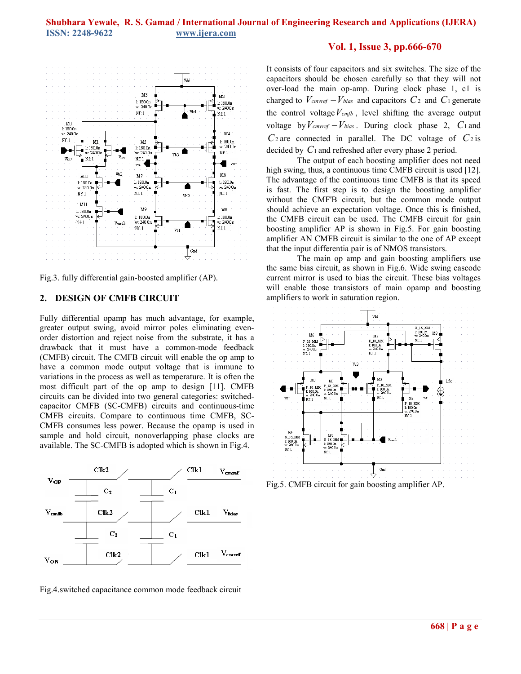



Fig.3. fully differential gain-boosted amplifier (AP).

#### **2. DESIGN OF CMFB CIRCUIT**

Fully differential opamp has much advantage, for example, greater output swing, avoid mirror poles eliminating evenorder distortion and reject noise from the substrate, it has a drawback that it must have a common-mode feedback (CMFB) circuit. The CMFB circuit will enable the op amp to have a common mode output voltage that is immune to variations in the process as well as temperature. It is often the most difficult part of the op amp to design [11]. CMFB circuits can be divided into two general categories: switchedcapacitor CMFB (SC-CMFB) circuits and continuous-time CMFB circuits. Compare to continuous time CMFB, SC-CMFB consumes less power. Because the opamp is used in sample and hold circuit, nonoverlapping phase clocks are available. The SC-CMFB is adopted which is shown in Fig.4.



Fig.4.switched capacitance common mode feedback circuit

It consists of four capacitors and six switches. The size of the capacitors should be chosen carefully so that they will not over-load the main op-amp. During clock phase 1, c1 is charged to  $V_{\text{cmvref}} - V_{\text{bias}}$  and capacitors  $C_2$  and  $C_1$  generate the control voltage  $V_{\text{cmfb}}$ , level shifting the average output voltage by  $V_{\text{cmvref}} - V_{\text{bias}}$ . During clock phase 2,  $C_1$  and *C*<sup>2</sup> are connected in parallel. The DC voltage of *C*<sup>2</sup> is decided by *C*<sup>1</sup> and refreshed after every phase 2 period.

The output of each boosting amplifier does not need high swing, thus, a continuous time CMFB circuit is used [12]. The advantage of the continuous time CMFB is that its speed is fast. The first step is to design the boosting amplifier without the CMF'B circuit, but the common mode output should achieve an expectation voltage. Once this is finished, the CMFB circuit can be used. The CMFB circuit for gain boosting amplifier AP is shown in Fig.5. For gain boosting amplifier AN CMFB circuit is similar to the one of AP except that the input differentia pair is of NMOS transistors.

The main op amp and gain boosting amplifiers use the same bias circuit, as shown in Fig.6. Wide swing cascode current mirror is used to bias the circuit. These bias voltages will enable those transistors of main opamp and boosting amplifiers to work in saturation region.



Fig.5. CMFB circuit for gain boosting amplifier AP.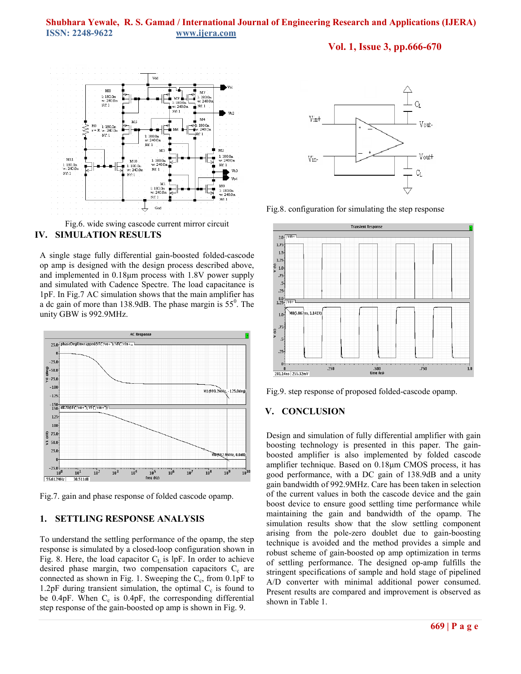## **Shubhara Yewale, R. S. Gamad / International Journal of Engineering Research and Applications (IJERA) ISSN: 2248-9622 www.ijera.com**

**Vol. 1, Issue 3, pp.666-670**



A single stage fully differential gain-boosted folded-cascode op amp is designed with the design process described above, and implemented in 0.18µm process with 1.8V power supply and simulated with Cadence Spectre. The load capacitance is 1pF. In Fig.7 AC simulation shows that the main amplifier has a dc gain of more than  $138.9$ dB. The phase margin is  $55^\circ$ . The unity GBW is 992.9MHz.



Fig.7. gain and phase response of folded cascode opamp.

#### **1. SETTLING RESPONSE ANALYSIS**

To understand the settling performance of the opamp, the step response is simulated by a closed-loop configuration shown in Fig. 8. Here, the load capacitor  $C_{\text{L}}$  is lpF. In order to achieve desired phase margin, two compensation capacitors  $C_c$  are connected as shown in Fig. 1. Sweeping the  $C_c$ , from 0.1pF to 1.2pF during transient simulation, the optimal  $C_c$  is found to be  $0.4pF$ . When  $C_c$  is  $0.4pF$ , the corresponding differential step response of the gain-boosted op amp is shown in Fig. 9.



Fig.8. configuration for simulating the step response



Fig.9. step response of proposed folded-cascode opamp.

## **V. CONCLUSION**

Design and simulation of fully differential amplifier with gain boosting technology is presented in this paper. The gainboosted amplifier is also implemented by folded cascode amplifier technique. Based on 0.18µm CMOS process, it has good performance, with a DC gain of 138.9dB and a unity gain bandwidth of 992.9MHz. Care has been taken in selection of the current values in both the cascode device and the gain boost device to ensure good settling time performance while maintaining the gain and bandwidth of the opamp. The simulation results show that the slow settling component arising from the pole-zero doublet due to gain-boosting technique is avoided and the method provides a simple and robust scheme of gain-boosted op amp optimization in terms of settling performance. The designed op-amp fulfills the stringent specifications of sample and hold stage of pipelined A/D converter with minimal additional power consumed. Present results are compared and improvement is observed as shown in Table 1.